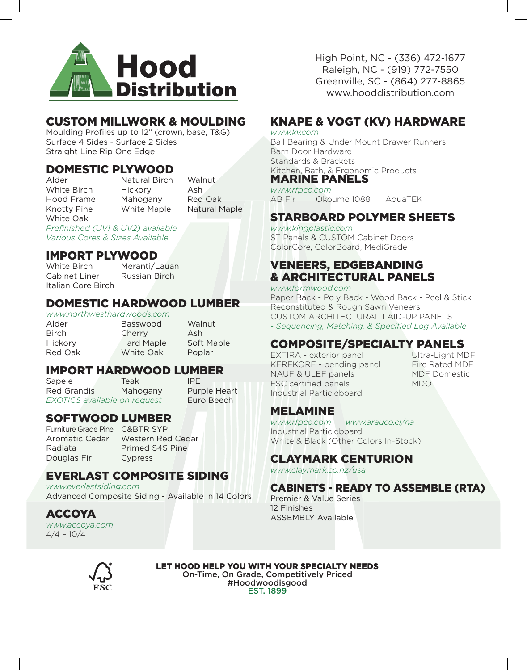

# CUSTOM MILLWORK & MOULDING

Moulding Profiles up to 12" (crown, base, T&G) Surface 4 Sides - Surface 2 Sides Straight Line Rip One Edge

# **DOMESTIC PLYWOOD**<br>Alder **Natural Birch**

White Oak

Natural Birch Walnut White Birch Hickory Ash Hood Frame Mahogany Red Oak Knotty Pine White Maple Natural Maple

*Prefinished (UV1 & UV2) available Various Cores & Sizes Available*

# **IMPORT PLYWOOD**<br>White Birch Meranti/L

Cabinet Liner Russian Birch Italian Core Birch

Meranti/Lauan

### DOMESTIC HARDWOOD LUMBER

*www.northwesthardwoods.com*

Alder Basswood Walnut Birch Cherry Ash Hickory Hard Maple Soft Maple Red Oak White Oak Poplar

# **IMPORT HARDWOOD LUMBER**<br>Sapele Teak **IPE**

Sapele Red Grandis Mahogany Purple Heart *EXOTICS available on request* Euro Beech

# SOFTWOOD LUMBER

Furniture Grade Pine C&BTR SYP Douglas Fir Cypress

Aromatic Cedar Western Red Cedar Radiata Primed S4S Pine

# EVERLAST COMPOSITE SIDING

*www.everlastsiding.com* Advanced Composite Siding - Available in 14 Colors

ACCOYA *www.accoya.com*  $4/4 - 10/4$ 

High Point, NC - (336) 472-1677 Raleigh, NC - (919) 772-7550 Greenville, SC - (864) 277-8865 www.hooddistribution.com

# KNAPE & VOGT (KV) HARDWARE

*www.kv.com*

Ball Bearing & Under Mount Drawer Runners Barn Door Hardware Standards & Brackets Kitchen, Bath, & Ergonomic Products MARINE PANELS

#### *www.rfpco.com*

AB Fir Okoume 1088 AquaTEK

# STARBOARD POLYMER SHEETS

*www.kingplastic.com* ST Panels & CUSTOM Cabinet Doors ColorCore, ColorBoard, MediGrade

# VENEERS, EDGEBANDING & ARCHITECTURAL PANELS

*www.formwood.com*  Paper Back - Poly Back - Wood Back - Peel & Stick Reconstituted & Rough Sawn Veneers CUSTOM ARCHITECTURAL LAID-UP PANELS *- Sequencing, Matching, & Specified Log Available*

# COMPOSITE/SPECIALTY PANELS

EXTIRA - exterior panel Ultra-Light MDF KERFKORE - bending panel Fire Rated MDF NAUF & ULEF panels MDF Domestic FSC certified panels MDO Industrial Particleboard

## MELAMINE

*www.rfpco.com www.arauco.cl/na* Industrial Particleboard White & Black (Other Colors In-Stock)

# CLAYMARK CENTURION

*www.claymark.co.nz/usa*

# CABINETS - READY TO ASSEMBLE (RTA)

Premier & Value Series 12 Finishes ASSEMBLY Available



LET HOOD HELP YOU WITH YOUR SPECIALTY NEEDS On-Time, On Grade, Competitively Priced #Hoodwoodisgood EST. 1899